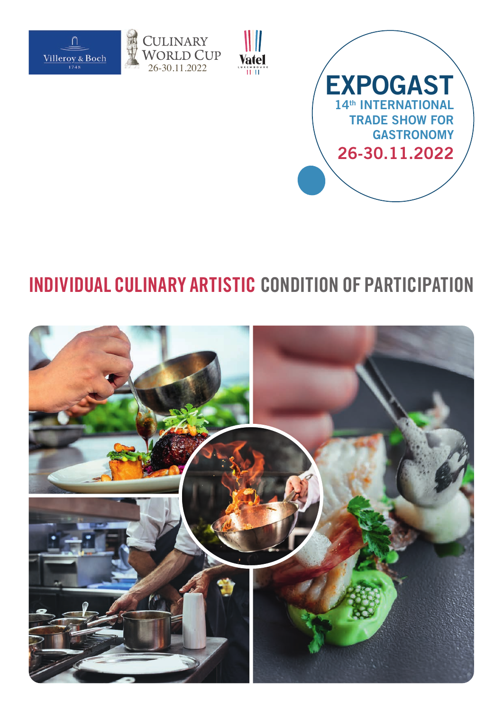





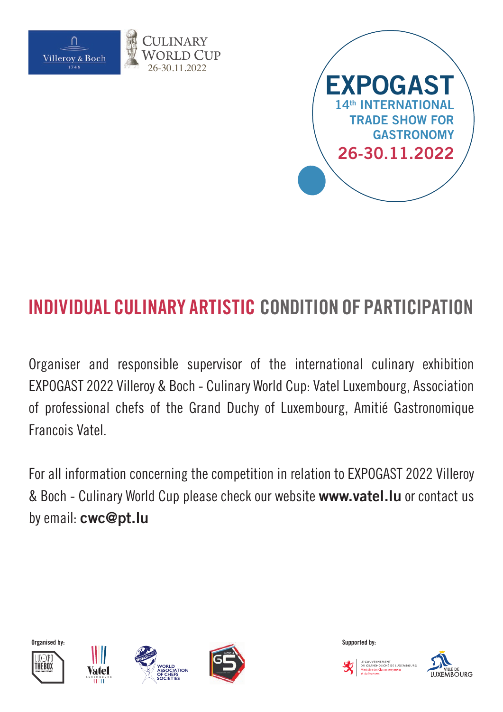



Organiser and responsible supervisor of the international culinary exhibition EXPOGAST 2022 Villeroy & Boch - Culinary World Cup: Vatel Luxembourg, Association of professional chefs of the Grand Duchy of Luxembourg, Amitié Gastronomique Francois Vatel.

For all information concerning the competition in relation to EXPOGAST 2022 Villeroy & Boch - Culinary World Cup please check our website **www.vatel.lu** or contact us by email: **cwc@pt.lu**











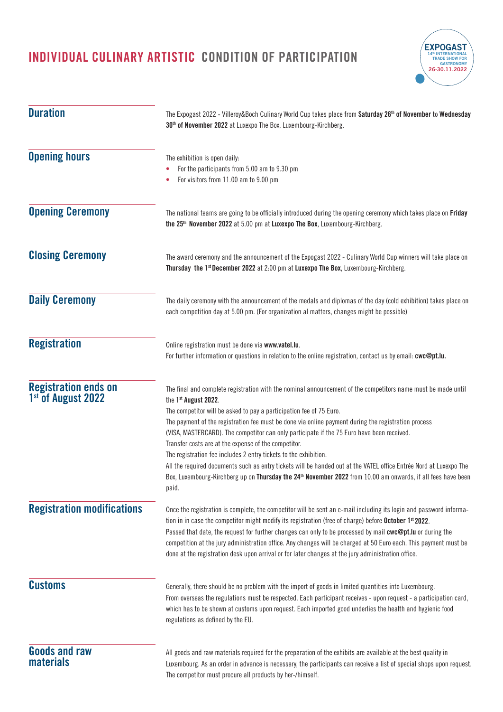

| <b>Duration</b>                                               | The Expogast 2022 - Villeroy&Boch Culinary World Cup takes place from Saturday 26 <sup>th</sup> of November to Wednesday<br>30 <sup>th</sup> of November 2022 at Luxexpo The Box, Luxembourg-Kirchberg.                                                                                                                                                                                                                                                                                                                                                                                                                                                                                                                                                                                                 |  |  |  |
|---------------------------------------------------------------|---------------------------------------------------------------------------------------------------------------------------------------------------------------------------------------------------------------------------------------------------------------------------------------------------------------------------------------------------------------------------------------------------------------------------------------------------------------------------------------------------------------------------------------------------------------------------------------------------------------------------------------------------------------------------------------------------------------------------------------------------------------------------------------------------------|--|--|--|
| <b>Opening hours</b>                                          | The exhibition is open daily:<br>For the participants from 5.00 am to 9.30 pm<br>For visitors from 11.00 am to 9.00 pm<br>The national teams are going to be officially introduced during the opening ceremony which takes place on Friday<br>the 25 <sup>th</sup> November 2022 at 5.00 pm at Luxexpo The Box, Luxembourg-Kirchberg.                                                                                                                                                                                                                                                                                                                                                                                                                                                                   |  |  |  |
| <b>Opening Ceremony</b>                                       |                                                                                                                                                                                                                                                                                                                                                                                                                                                                                                                                                                                                                                                                                                                                                                                                         |  |  |  |
| <b>Closing Ceremony</b>                                       | The award ceremony and the announcement of the Expogast 2022 - Culinary World Cup winners will take place on<br>Thursday the 1st December 2022 at 2:00 pm at Luxexpo The Box, Luxembourg-Kirchberg.                                                                                                                                                                                                                                                                                                                                                                                                                                                                                                                                                                                                     |  |  |  |
| <b>Daily Ceremony</b>                                         | The daily ceremony with the announcement of the medals and diplomas of the day (cold exhibition) takes place on<br>each competition day at 5.00 pm. (For organization al matters, changes might be possible)                                                                                                                                                                                                                                                                                                                                                                                                                                                                                                                                                                                            |  |  |  |
| <b>Registration</b>                                           | Online registration must be done via www.vatel.lu.<br>For further information or questions in relation to the online registration, contact us by email: cwc@pt.lu.                                                                                                                                                                                                                                                                                                                                                                                                                                                                                                                                                                                                                                      |  |  |  |
| <b>Registration ends on</b><br>1 <sup>st</sup> of August 2022 | The final and complete registration with the nominal announcement of the competitors name must be made until<br>the 1st August 2022.<br>The competitor will be asked to pay a participation fee of 75 Euro.<br>The payment of the registration fee must be done via online payment during the registration process<br>(VISA, MASTERCARD). The competitor can only participate if the 75 Euro have been received.<br>Transfer costs are at the expense of the competitor.<br>The registration fee includes 2 entry tickets to the exhibition.<br>All the required documents such as entry tickets will be handed out at the VATEL office Entrée Nord at Luxexpo The<br>Box, Luxembourg-Kirchberg up on Thursday the 24 <sup>th</sup> November 2022 from 10.00 am onwards, if all fees have been<br>paid. |  |  |  |
| <b>Registration modifications</b>                             | Once the registration is complete, the competitor will be sent an e-mail including its login and password informa-<br>tion in in case the competitor might modify its registration (free of charge) before October 1 <sup>st</sup> 2022.<br>Passed that date, the request for further changes can only to be processed by mail cwc@pt.lu or during the<br>competition at the jury administration office. Any changes will be charged at 50 Euro each. This payment must be<br>done at the registration desk upon arrival or for later changes at the jury administration office.                                                                                                                                                                                                                        |  |  |  |
| <b>Customs</b>                                                | Generally, there should be no problem with the import of goods in limited quantities into Luxembourg.<br>From overseas the regulations must be respected. Each participant receives - upon request - a participation card,<br>which has to be shown at customs upon request. Each imported good underlies the health and hygienic food<br>regulations as defined by the EU.                                                                                                                                                                                                                                                                                                                                                                                                                             |  |  |  |
| <b>Goods and raw</b><br><b>materials</b>                      | All goods and raw materials required for the preparation of the exhibits are available at the best quality in<br>Luxembourg. As an order in advance is necessary, the participants can receive a list of special shops upon request.<br>The competitor must procure all products by her-/himself.                                                                                                                                                                                                                                                                                                                                                                                                                                                                                                       |  |  |  |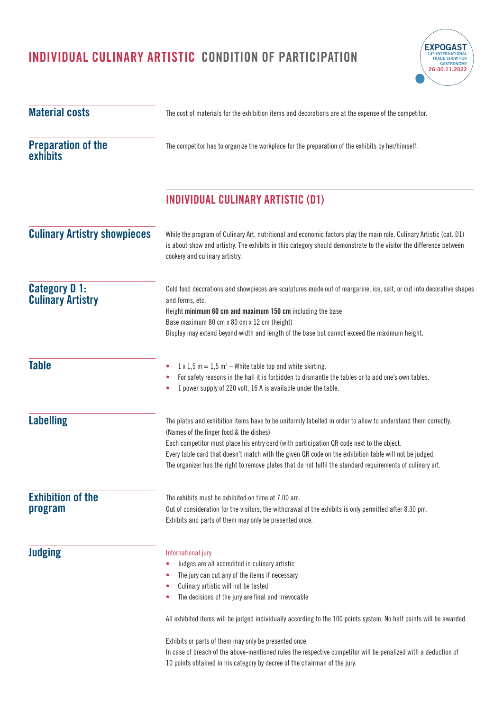

| <b>Material costs</b>                            | The cost of materials for the exhibition items and decorations are at the expense of the competitor.                                                                                                                                                                                                                                                                                                                                                                          |  |  |  |
|--------------------------------------------------|-------------------------------------------------------------------------------------------------------------------------------------------------------------------------------------------------------------------------------------------------------------------------------------------------------------------------------------------------------------------------------------------------------------------------------------------------------------------------------|--|--|--|
| <b>Preparation of the</b><br>exhibits            | The competitor has to organize the workplace for the preparation of the exhibits by her/himself.<br><b>INDIVIDUAL CULINARY ARTISTIC (D1)</b><br>While the program of Culinary Art, nutritional and economic factors play the main role, Culinary Artistic (cat. D1)<br>is about show and artistry. The exhibits in this category should demonstrate to the visitor the difference between<br>cookery and culinary artistry.                                                   |  |  |  |
|                                                  |                                                                                                                                                                                                                                                                                                                                                                                                                                                                               |  |  |  |
| <b>Culinary Artistry showpieces</b>              |                                                                                                                                                                                                                                                                                                                                                                                                                                                                               |  |  |  |
| <b>Category D 1:</b><br><b>Culinary Artistry</b> | Cold food decorations and showpieces are sculptures made out of margarine, ice, salt, or cut into decorative shapes<br>and forms, etc.<br>Height minimum 60 cm and maximum 150 cm including the base<br>Base maximum 80 cm x 80 cm x 12 cm (height)<br>Display may extend beyond width and length of the base but cannot exceed the maximum height.                                                                                                                           |  |  |  |
| <b>Table</b>                                     | $1 \times 1.5$ m = 1.5 m <sup>2</sup> – White table top and white skirting.<br>۰<br>For safety reasons in the hall it is forbidden to dismantle the tables or to add one's own tables.<br>۰<br>1 power supply of 220 volt, 16 A is available under the table.                                                                                                                                                                                                                 |  |  |  |
| <b>Labelling</b>                                 | The plates and exhibition items have to be uniformly labelled in order to allow to understand them correctly.<br>(Names of the finger food & the dishes)<br>Each competitor must place his entry card (with participation QR code next to the object.<br>Every table card that doesn't match with the given QR code on the exhibition table will not be judged.<br>The organizer has the right to remove plates that do not fulfil the standard requirements of culinary art. |  |  |  |
| <b>Exhibition of the</b><br>program              | The exhibits must be exhibited on time at 7.00 am.<br>Out of consideration for the visitors, the withdrawal of the exhibits is only permitted after 8.30 pm.<br>Exhibits and parts of them may only be presented once.                                                                                                                                                                                                                                                        |  |  |  |
| <b>Judging</b>                                   | International jury<br>Judges are all accredited in culinary artistic<br>۰<br>The jury can cut any of the items if necessary<br>۰<br>Culinary artistic will not be tasted<br>٠<br>The decisions of the jury are final and irrevocable<br>۰                                                                                                                                                                                                                                     |  |  |  |
|                                                  | All exhibited items will be judged individually according to the 100 points system. No half points will be awarded.<br>Exhibits or parts of them may only be presented once.<br>In case of breach of the above-mentioned rules the respective competitor will be penalized with a deduction of<br>10 points obtained in his category by decree of the chairman of the jury.                                                                                                   |  |  |  |